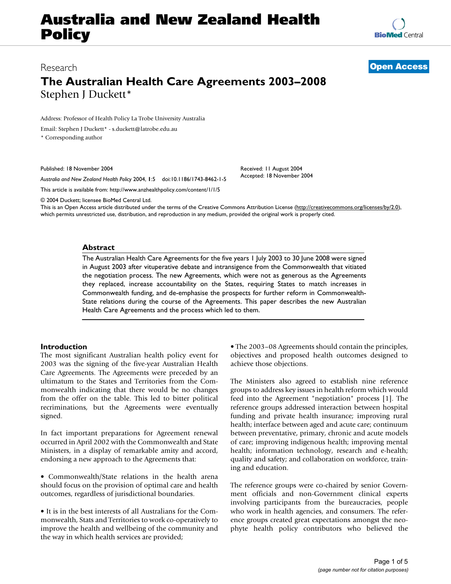# **Australia and New Zealand Health Policy**

**[BioMed](http://www.biomedcentral.com/)** Central

### Research **[Open Access](http://www.biomedcentral.com/info/about/charter/)**

## **The Australian Health Care Agreements 2003–2008** Stephen J Duckett\*

Address: Professor of Health Policy La Trobe University Australia

Email: Stephen J Duckett<sup>\*</sup> - s.duckett@latrobe.edu.au

\* Corresponding author

Published: 18 November 2004

*Australia and New Zealand Health Policy* 2004, **1**:5 doi:10.1186/1743-8462-1-5

[This article is available from: http://www.anzhealthpolicy.com/content/1/1/5](http://www.anzhealthpolicy.com/content/1/1/5)

© 2004 Duckett; licensee BioMed Central Ltd.

This is an Open Access article distributed under the terms of the Creative Commons Attribution License [\(http://creativecommons.org/licenses/by/2.0\)](http://creativecommons.org/licenses/by/2.0), which permits unrestricted use, distribution, and reproduction in any medium, provided the original work is properly cited.

Received: 11 August 2004 Accepted: 18 November 2004

#### **Abstract**

The Australian Health Care Agreements for the five years 1 July 2003 to 30 June 2008 were signed in August 2003 after vituperative debate and intransigence from the Commonwealth that vitiated the negotiation process. The new Agreements, which were not as generous as the Agreements they replaced, increase accountability on the States, requiring States to match increases in Commonwealth funding, and de-emphasise the prospects for further reform in Commonwealth-State relations during the course of the Agreements. This paper describes the new Australian Health Care Agreements and the process which led to them.

#### **Introduction**

The most significant Australian health policy event for 2003 was the signing of the five-year Australian Health Care Agreements. The Agreements were preceded by an ultimatum to the States and Territories from the Commonwealth indicating that there would be no changes from the offer on the table. This led to bitter political recriminations, but the Agreements were eventually signed.

In fact important preparations for Agreement renewal occurred in April 2002 with the Commonwealth and State Ministers, in a display of remarkable amity and accord, endorsing a new approach to the Agreements that:

• Commonwealth/State relations in the health arena should focus on the provision of optimal care and health outcomes, regardless of jurisdictional boundaries.

• It is in the best interests of all Australians for the Commonwealth, Stats and Territories to work co-operatively to improve the health and wellbeing of the community and the way in which health services are provided;

• The 2003–08 Agreements should contain the principles, objectives and proposed health outcomes designed to achieve those objections.

The Ministers also agreed to establish nine reference groups to address key issues in health reform which would feed into the Agreement "negotiation" process [1]. The reference groups addressed interaction between hospital funding and private health insurance; improving rural health; interface between aged and acute care; continuum between preventative, primary, chronic and acute models of care; improving indigenous health; improving mental health; information technology, research and e-health; quality and safety; and collaboration on workforce, training and education.

The reference groups were co-chaired by senior Government officials and non-Government clinical experts involving participants from the bureaucracies, people who work in health agencies, and consumers. The reference groups created great expectations amongst the neophyte health policy contributors who believed the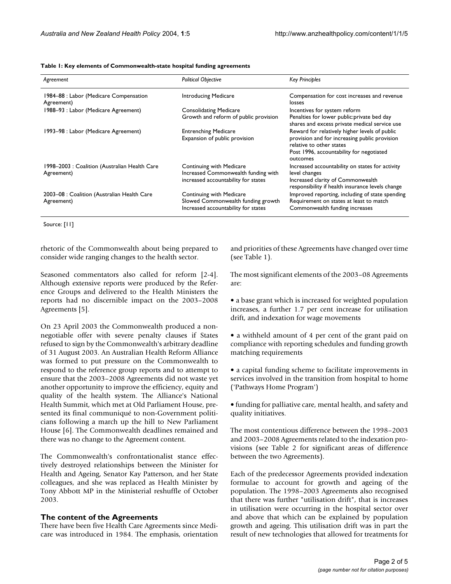|  |  |  |  |  |  | Table 1: Key elements of Commonwealth-state hospital funding agreements |  |
|--|--|--|--|--|--|-------------------------------------------------------------------------|--|
|--|--|--|--|--|--|-------------------------------------------------------------------------|--|

| Agreement                                                   | <b>Political Objective</b>                                                                             | <b>Key Principles</b>                                                                                                                                                              |
|-------------------------------------------------------------|--------------------------------------------------------------------------------------------------------|------------------------------------------------------------------------------------------------------------------------------------------------------------------------------------|
| 1984–88 : Labor (Medicare Compensation<br>Agreement)        | <b>Introducing Medicare</b>                                                                            | Compensation for cost increases and revenue<br>losses                                                                                                                              |
| 1988-93 : Labor (Medicare Agreement)                        | <b>Consolidating Medicare</b>                                                                          | Incentives for system reform                                                                                                                                                       |
|                                                             | Growth and reform of public provision                                                                  | Penalties for lower public: private bed day<br>shares and excess private medical service use                                                                                       |
| 1993–98 : Labor (Medicare Agreement)                        | <b>Entrenching Medicare</b><br>Expansion of public provision                                           | Reward for relatively higher levels of public<br>provision and for increasing public provision<br>relative to other states<br>Post 1996, accountability for negotiated<br>outcomes |
| 1998–2003 : Coalition (Australian Health Care<br>Agreement) | Continuing with Medicare<br>Increased Commonwealth funding with<br>increased accountability for states | Increased accountability on states for activity<br>level changes<br>Increased clarity of Commonwealth<br>responsibility if health insurance levels change                          |
| 2003-08 : Coalition (Australian Health Care<br>Agreement)   | Continuing with Medicare<br>Slowed Commonwealth funding growth<br>Increased accountability for states  | Improved reporting, including of state spending<br>Requirement on states at least to match<br>Commonwealth funding increases                                                       |

Source: [11]

rhetoric of the Commonwealth about being prepared to consider wide ranging changes to the health sector.

Seasoned commentators also called for reform [2-4]. Although extensive reports were produced by the Reference Groups and delivered to the Health Ministers the reports had no discernible impact on the 2003–2008 Agreements [5].

On 23 April 2003 the Commonwealth produced a nonnegotiable offer with severe penalty clauses if States refused to sign by the Commonwealth's arbitrary deadline of 31 August 2003. An Australian Health Reform Alliance was formed to put pressure on the Commonwealth to respond to the reference group reports and to attempt to ensure that the 2003–2008 Agreements did not waste yet another opportunity to improve the efficiency, equity and quality of the health system. The Alliance's National Health Summit, which met at Old Parliament House, presented its final communiqué to non-Government politicians following a march up the hill to New Parliament House [6]. The Commonwealth deadlines remained and there was no change to the Agreement content.

The Commonwealth's confrontationalist stance effectively destroyed relationships between the Minister for Health and Ageing, Senator Kay Patterson, and her State colleagues, and she was replaced as Health Minister by Tony Abbott MP in the Ministerial reshuffle of October 2003.

#### **The content of the Agreements**

There have been five Health Care Agreements since Medicare was introduced in 1984. The emphasis, orientation and priorities of these Agreements have changed over time (see Table 1).

The most significant elements of the 2003–08 Agreements are:

• a base grant which is increased for weighted population increases, a further 1.7 per cent increase for utilisation drift, and indexation for wage movements

• a withheld amount of 4 per cent of the grant paid on compliance with reporting schedules and funding growth matching requirements

• a capital funding scheme to facilitate improvements in services involved in the transition from hospital to home ('Pathways Home Program')

• funding for palliative care, mental health, and safety and quality initiatives.

The most contentious difference between the 1998–2003 and 2003–2008 Agreements related to the indexation provisions (see Table [2](#page-2-0) for significant areas of difference between the two Agreements).

Each of the predecessor Agreements provided indexation formulae to account for growth and ageing of the population. The 1998–2003 Agreements also recognised that there was further "utilisation drift", that is increases in utilisation were occurring in the hospital sector over and above that which can be explained by population growth and ageing. This utilisation drift was in part the result of new technologies that allowed for treatments for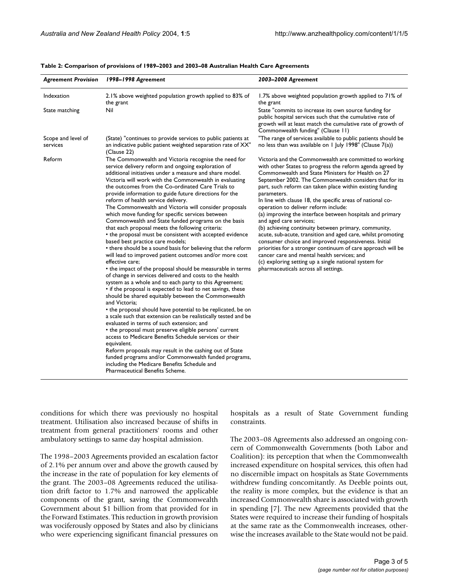| <b>Agreement Provision</b>     | 1998-1998 Agreement                                                                                                                                                                                                                                                                                                                                                                                                                                                                                                                                                                                                                                                                                                                                                                                                                                                                                                                                                                                                                                                                                                                                                                                                                                                                                                                                                                                                                                                                                                                                                                                                                                                                                           | 2003-2008 Agreement                                                                                                                                                                                                                                                                                                                                                                                                                                                                                                                                                                                                                                                                                                                                                                                                                                                                                           |
|--------------------------------|---------------------------------------------------------------------------------------------------------------------------------------------------------------------------------------------------------------------------------------------------------------------------------------------------------------------------------------------------------------------------------------------------------------------------------------------------------------------------------------------------------------------------------------------------------------------------------------------------------------------------------------------------------------------------------------------------------------------------------------------------------------------------------------------------------------------------------------------------------------------------------------------------------------------------------------------------------------------------------------------------------------------------------------------------------------------------------------------------------------------------------------------------------------------------------------------------------------------------------------------------------------------------------------------------------------------------------------------------------------------------------------------------------------------------------------------------------------------------------------------------------------------------------------------------------------------------------------------------------------------------------------------------------------------------------------------------------------|---------------------------------------------------------------------------------------------------------------------------------------------------------------------------------------------------------------------------------------------------------------------------------------------------------------------------------------------------------------------------------------------------------------------------------------------------------------------------------------------------------------------------------------------------------------------------------------------------------------------------------------------------------------------------------------------------------------------------------------------------------------------------------------------------------------------------------------------------------------------------------------------------------------|
| Indexation                     | 2.1% above weighted population growth applied to 83% of<br>the grant                                                                                                                                                                                                                                                                                                                                                                                                                                                                                                                                                                                                                                                                                                                                                                                                                                                                                                                                                                                                                                                                                                                                                                                                                                                                                                                                                                                                                                                                                                                                                                                                                                          | 1.7% above weighted population growth applied to 71% of<br>the grant                                                                                                                                                                                                                                                                                                                                                                                                                                                                                                                                                                                                                                                                                                                                                                                                                                          |
| State matching                 | Nil                                                                                                                                                                                                                                                                                                                                                                                                                                                                                                                                                                                                                                                                                                                                                                                                                                                                                                                                                                                                                                                                                                                                                                                                                                                                                                                                                                                                                                                                                                                                                                                                                                                                                                           | State "commits to increase its own source funding for<br>public hospital services such that the cumulative rate of<br>growth will at least match the cumulative rate of growth of<br>Commonwealth funding" (Clause 11)                                                                                                                                                                                                                                                                                                                                                                                                                                                                                                                                                                                                                                                                                        |
| Scope and level of<br>services | (State) "continues to provide services to public patients at<br>an indicative public patient weighted separation rate of XX"<br>(Clause 22)                                                                                                                                                                                                                                                                                                                                                                                                                                                                                                                                                                                                                                                                                                                                                                                                                                                                                                                                                                                                                                                                                                                                                                                                                                                                                                                                                                                                                                                                                                                                                                   | "The range of services available to public patients should be<br>no less than was available on $  \cdot  $ uly 1998" (Clause 7(a))                                                                                                                                                                                                                                                                                                                                                                                                                                                                                                                                                                                                                                                                                                                                                                            |
| Reform                         | The Commonwealth and Victoria recognise the need for<br>service delivery reform and ongoing exploration of<br>additional initiatives under a measure and share model.<br>Victoria will work with the Commonwealth in evaluating<br>the outcomes from the Co-ordinated Care Trials to<br>provide information to guide future directions for the<br>reform of health service delivery.<br>The Commonwealth and Victoria will consider proposals<br>which move funding for specific services between<br>Commonwealth and State funded programs on the basis<br>that each proposal meets the following criteria:<br>• the proposal must be consistent with accepted evidence<br>based best practice care models;<br>• there should be a sound basis for believing that the reform<br>will lead to improved patient outcomes and/or more cost<br>effective care;<br>• the impact of the proposal should be measurable in terms<br>of change in services delivered and costs to the health<br>system as a whole and to each party to this Agreement;<br>• if the proposal is expected to lead to net savings, these<br>should be shared equitably between the Commonwealth<br>and Victoria;<br>• the proposal should have potential to be replicated, be on<br>a scale such that extension can be realistically tested and be<br>evaluated in terms of such extension; and<br>• the proposal must preserve eligible persons' current<br>access to Medicare Benefits Schedule services or their<br>equivalent.<br>Reform proposals may result in the cashing out of State<br>funded programs and/or Commonwealth funded programs,<br>including the Medicare Benefits Schedule and<br>Pharmaceutical Benefits Scheme. | Victoria and the Commonwealth are committed to working<br>with other States to progress the reform agenda agreed by<br>Commonwealth and State Ministers for Health on 27<br>September 2002. The Commonwealth considers that for its<br>part, such reform can taken place within existing funding<br>parameters.<br>In line with clause 18, the specific areas of national co-<br>operation to deliver reform include:<br>(a) improving the interface between hospitals and primary<br>and aged care services;<br>(b) achieving continuity between primary, community,<br>acute, sub-acute, transition and aged care, whilst promoting<br>consumer choice and improved responsiveness. Initial<br>priorities for a stronger continuum of care approach will be<br>cancer care and mental health services; and<br>(c) exploring setting up a single national system for<br>pharmaceuticals across all settings. |

<span id="page-2-0"></span>**Table 2: Comparison of provisions of 1989–2003 and 2003–08 Australian Health Care Agreements**

conditions for which there was previously no hospital treatment. Utilisation also increased because of shifts in treatment from general practitioners' rooms and other ambulatory settings to same day hospital admission.

The 1998–2003 Agreements provided an escalation factor of 2.1% per annum over and above the growth caused by the increase in the rate of population for key elements of the grant. The 2003–08 Agreements reduced the utilisation drift factor to 1.7% and narrowed the applicable components of the grant, saving the Commonwealth Government about \$1 billion from that provided for in the Forward Estimates. This reduction in growth provision was vociferously opposed by States and also by clinicians who were experiencing significant financial pressures on hospitals as a result of State Government funding constraints.

The 2003–08 Agreements also addressed an ongoing concern of Commonwealth Governments (both Labor and Coalition): its perception that when the Commonwealth increased expenditure on hospital services, this often had no discernible impact on hospitals as State Governments withdrew funding concomitantly. As Deeble points out, the reality is more complex, but the evidence is that an increased Commonwealth share is associated with growth in spending [7]. The new Agreements provided that the States were required to increase their funding of hospitals at the same rate as the Commonwealth increases, otherwise the increases available to the State would not be paid.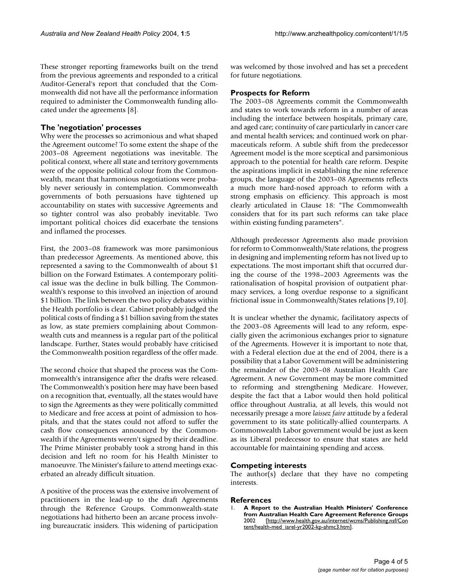These stronger reporting frameworks built on the trend from the previous agreements and responded to a critical Auditor-General's report that concluded that the Commonwealth did not have all the performance information required to administer the Commonwealth funding allocated under the agreements [8].

#### **The 'negotiation' processes**

Why were the processes so acrimonious and what shaped the Agreement outcome? To some extent the shape of the 2003–08 Agreement negotiations was inevitable. The political context, where all state and territory governments were of the opposite political colour from the Commonwealth, meant that harmonious negotiations were probably never seriously in contemplation. Commonwealth governments of both persuasions have tightened up accountability on states with successive Agreements and so tighter control was also probably inevitable. Two important political choices did exacerbate the tensions and inflamed the processes.

First, the 2003–08 framework was more parsimonious than predecessor Agreements. As mentioned above, this represented a saving to the Commonwealth of about \$1 billion on the Forward Estimates. A contemporary political issue was the decline in bulk billing. The Commonwealth's response to this involved an injection of around \$1 billion. The link between the two policy debates within the Health portfolio is clear. Cabinet probably judged the political costs of finding a \$1 billion saving from the states as low, as state premiers complaining about Commonwealth cuts and meanness is a regular part of the political landscape. Further, States would probably have criticised the Commonwealth position regardless of the offer made.

The second choice that shaped the process was the Commonwealth's intransigence after the drafts were released. The Commonwealth's position here may have been based on a recognition that, eventually, all the states would have to sign the Agreements as they were politically committed to Medicare and free access at point of admission to hospitals, and that the states could not afford to suffer the cash flow consequences announced by the Commonwealth if the Agreements weren't signed by their deadline. The Prime Minister probably took a strong hand in this decision and left no room for his Health Minister to manoeuvre. The Minister's failure to attend meetings exacerbated an already difficult situation.

A positive of the process was the extensive involvement of practitioners in the lead-up to the draft Agreements through the Reference Groups. Commonwealth-state negotiations had hitherto been an arcane process involving bureaucratic insiders. This widening of participation was welcomed by those involved and has set a precedent for future negotiations.

#### **Prospects for Reform**

The 2003–08 Agreements commit the Commonwealth and states to work towards reform in a number of areas including the interface between hospitals, primary care, and aged care; continuity of care particularly in cancer care and mental health services; and continued work on pharmaceuticals reform. A subtle shift from the predecessor Agreement model is the more sceptical and parsimonious approach to the potential for health care reform. Despite the aspirations implicit in establishing the nine reference groups, the language of the 2003–08 Agreements reflects a much more hard-nosed approach to reform with a strong emphasis on efficiency. This approach is most clearly articulated in Clause 18: "The Commonwealth considers that for its part such reforms can take place within existing funding parameters".

Although predecessor Agreements also made provision for reform to Commonwealth/State relations, the progress in designing and implementing reform has not lived up to expectations. The most important shift that occurred during the course of the 1998–2003 Agreements was the rationalisation of hospital provision of outpatient pharmacy services, a long overdue response to a significant frictional issue in Commonwealth/States relations [9,10].

It is unclear whether the dynamic, facilitatory aspects of the 2003–08 Agreements will lead to any reform, especially given the acrimonious exchanges prior to signature of the Agreements. However it is important to note that, with a Federal election due at the end of 2004, there is a possibility that a Labor Government will be administering the remainder of the 2003–08 Australian Health Care Agreement. A new Government may be more committed to reforming and strengthening Medicare. However, despite the fact that a Labor would then hold political office throughout Australia, at all levels, this would not necessarily presage a more *laissez faire* attitude by a federal government to its state politically-allied counterparts. A Commonwealth Labor government would be just as keen as its Liberal predecessor to ensure that states are held accountable for maintaining spending and access.

#### **Competing interests**

The author(s) declare that they have no competing interests.

#### **References**

1. **A Report to the Australian Health Ministers' Conference from Australian Health Care Agreement Reference Groups** 2002 [\[http://www.health.gov.au/internet/wcms/Publishing.nsf/Con](http://www.health.gov.au/internet/wcms/Publishing.nsf/Content/health-med  iarel-yr2002-kp-ahmc3.htm) [tent/health-med iarel-yr2002-kp-ahmc3.htm](http://www.health.gov.au/internet/wcms/Publishing.nsf/Content/health-med  iarel-yr2002-kp-ahmc3.htm)].